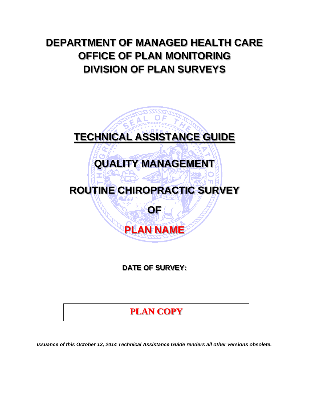# **DEPARTMENT OF MANAGED HEALTH CARE OFFICE OF PLAN MONITORING DIVISION OF PLAN SURVEYS**

# **TECHNICAL ASSISTANCE GUIDE QUALITY MANAGEMENT ROUTINE CHIROPRACTIC SURVEY OF PLAN NAME**

**DATE OF SURVEY:** 

## **PLAN COPY**

*Issuance of this October 13, 2014 Technical Assistance Guide renders all other versions obsolete.*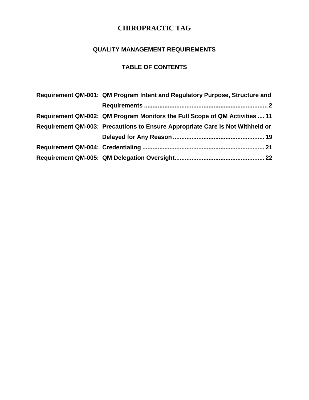#### **QUALITY MANAGEMENT REQUIREMENTS**

## **TABLE OF CONTENTS**

| Requirement QM-001: QM Program Intent and Regulatory Purpose, Structure and   |
|-------------------------------------------------------------------------------|
|                                                                               |
| Requirement QM-002: QM Program Monitors the Full Scope of QM Activities  11   |
| Requirement QM-003: Precautions to Ensure Appropriate Care is Not Withheld or |
|                                                                               |
|                                                                               |
|                                                                               |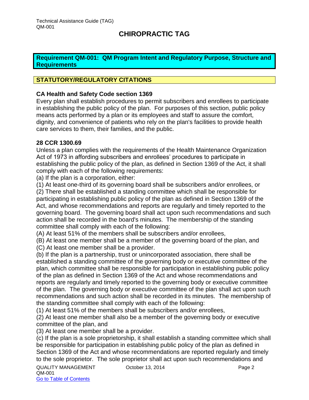#### <span id="page-2-0"></span>**Requirement QM-001: QM Program Intent and Regulatory Purpose, Structure and Requirements**

#### **STATUTORY/REGULATORY CITATIONS**

#### **CA Health and Safety Code section 1369**

Every plan shall establish procedures to permit subscribers and enrollees to participate in establishing the public policy of the plan. For purposes of this section, public policy means acts performed by a plan or its employees and staff to assure the comfort, dignity, and convenience of patients who rely on the plan's facilities to provide health care services to them, their families, and the public.

#### **28 CCR 1300.69**

Unless a plan complies with the requirements of the Health Maintenance Organization Act of 1973 in affording subscribers and enrollees' procedures to participate in establishing the public policy of the plan, as defined in Section 1369 of the Act, it shall comply with each of the following requirements:

(a) If the plan is a corporation, either:

(1) At least one-third of its governing board shall be subscribers and/or enrollees, or

(2) There shall be established a standing committee which shall be responsible for participating in establishing public policy of the plan as defined in Section 1369 of the Act, and whose recommendations and reports are regularly and timely reported to the governing board. The governing board shall act upon such recommendations and such action shall be recorded in the board's minutes. The membership of the standing committee shall comply with each of the following:

(A) At least 51% of the members shall be subscribers and/or enrollees,

(B) At least one member shall be a member of the governing board of the plan, and

(C) At least one member shall be a provider.

(b) If the plan is a partnership, trust or unincorporated association, there shall be established a standing committee of the governing body or executive committee of the plan, which committee shall be responsible for participation in establishing public policy of the plan as defined in Section 1369 of the Act and whose recommendations and reports are regularly and timely reported to the governing body or executive committee of the plan. The governing body or executive committee of the plan shall act upon such recommendations and such action shall be recorded in its minutes. The membership of the standing committee shall comply with each of the following:

(1) At least 51% of the members shall be subscribers and/or enrollees,

(2) At least one member shall also be a member of the governing body or executive committee of the plan, and

(3) At least one member shall be a provider.

(c) If the plan is a sole proprietorship, it shall establish a standing committee which shall be responsible for participation in establishing public policy of the plan as defined in Section 1369 of the Act and whose recommendations are reported regularly and timely to the sole proprietor. The sole proprietor shall act upon such recommendations and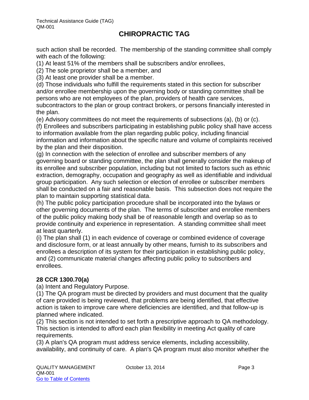such action shall be recorded. The membership of the standing committee shall comply with each of the following:

(1) At least 51% of the members shall be subscribers and/or enrollees,

(2) The sole proprietor shall be a member, and

(3) At least one provider shall be a member.

(d) Those individuals who fulfill the requirements stated in this section for subscriber and/or enrollee membership upon the governing body or standing committee shall be persons who are not employees of the plan, providers of health care services, subcontractors to the plan or group contract brokers, or persons financially interested in the plan.

(e) Advisory committees do not meet the requirements of subsections (a), (b) or (c).

(f) Enrollees and subscribers participating in establishing public policy shall have access to information available from the plan regarding public policy, including financial information and information about the specific nature and volume of complaints received by the plan and their disposition.

(g) In connection with the selection of enrollee and subscriber members of any governing board or standing committee, the plan shall generally consider the makeup of its enrollee and subscriber population, including but not limited to factors such as ethnic extraction, demography, occupation and geography as well as identifiable and individual group participation. Any such selection or election of enrollee or subscriber members shall be conducted on a fair and reasonable basis. This subsection does not require the plan to maintain supporting statistical data.

(h) The public policy participation procedure shall be incorporated into the bylaws or other governing documents of the plan. The terms of subscriber and enrollee members of the public policy making body shall be of reasonable length and overlap so as to provide continuity and experience in representation. A standing committee shall meet at least quarterly.

(i) The plan shall (1) in each evidence of coverage or combined evidence of coverage and disclosure form, or at least annually by other means, furnish to its subscribers and enrollees a description of its system for their participation in establishing public policy, and (2) communicate material changes affecting public policy to subscribers and enrollees.

#### **28 CCR 1300.70(a)**

(a) Intent and Regulatory Purpose.

(1) The QA program must be directed by providers and must document that the quality of care provided is being reviewed, that problems are being identified, that effective action is taken to improve care where deficiencies are identified, and that follow-up is planned where indicated.

(2) This section is not intended to set forth a prescriptive approach to QA methodology. This section is intended to afford each plan flexibility in meeting Act quality of care requirements.

(3) A plan's QA program must address service elements, including accessibility, availability, and continuity of care. A plan's QA program must also monitor whether the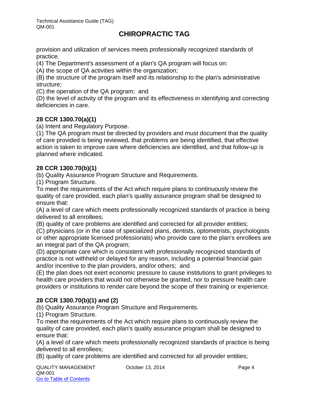provision and utilization of services meets professionally recognized standards of practice.

(4) The Department's assessment of a plan's QA program will focus on:

(A) the scope of QA activities within the organization;

(B) the structure of the program itself and its relationship to the plan's administrative structure;

(C) the operation of the QA program; and

(D) the level of activity of the program and its effectiveness in identifying and correcting deficiencies in care.

#### **28 CCR 1300.70(a)(1)**

(a) Intent and Regulatory Purpose.

(1) The QA program must be directed by providers and must document that the quality of care provided is being reviewed, that problems are being identified, that effective action is taken to improve care where deficiencies are identified, and that follow-up is planned where indicated.

#### **28 CCR 1300.70(b)(1)**

(b) Quality Assurance Program Structure and Requirements.

(1) Program Structure.

To meet the requirements of the Act which require plans to continuously review the quality of care provided, each plan's quality assurance program shall be designed to ensure that:

(A) a level of care which meets professionally recognized standards of practice is being delivered to all enrollees;

(B) quality of care problems are identified and corrected for all provider entities;

(C) physicians (or in the case of specialized plans, dentists, optometrists, psychologists or other appropriate licensed professionals) who provide care to the plan's enrollees are an integral part of the QA program;

(D) appropriate care which is consistent with professionally recognized standards of practice is not withheld or delayed for any reason, including a potential financial gain and/or incentive to the plan providers, and/or others; and

(E) the plan does not exert economic pressure to cause institutions to grant privileges to health care providers that would not otherwise be granted, nor to pressure health care providers or institutions to render care beyond the scope of their training or experience.

#### **28 CCR 1300.70(b)(1) and (2)**

(b) Quality Assurance Program Structure and Requirements.

(1) Program Structure.

To meet the requirements of the Act which require plans to continuously review the quality of care provided, each plan's quality assurance program shall be designed to ensure that:

(A) a level of care which meets professionally recognized standards of practice is being delivered to all enrollees;

(B) quality of care problems are identified and corrected for all provider entities;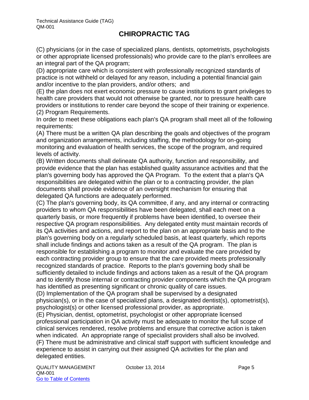(C) physicians (or in the case of specialized plans, dentists, optometrists, psychologists or other appropriate licensed professionals) who provide care to the plan's enrollees are an integral part of the QA program;

(D) appropriate care which is consistent with professionally recognized standards of practice is not withheld or delayed for any reason, including a potential financial gain and/or incentive to the plan providers, and/or others; and

(E) the plan does not exert economic pressure to cause institutions to grant privileges to health care providers that would not otherwise be granted, nor to pressure health care providers or institutions to render care beyond the scope of their training or experience. (2) Program Requirements.

In order to meet these obligations each plan's QA program shall meet all of the following requirements:

(A) There must be a written QA plan describing the goals and objectives of the program and organization arrangements, including staffing, the methodology for on-going monitoring and evaluation of health services, the scope of the program, and required levels of activity.

(B) Written documents shall delineate QA authority, function and responsibility, and provide evidence that the plan has established quality assurance activities and that the plan's governing body has approved the QA Program. To the extent that a plan's QA responsibilities are delegated within the plan or to a contracting provider, the plan documents shall provide evidence of an oversight mechanism for ensuring that delegated QA functions are adequately performed.

(C) The plan's governing body, its QA committee, if any, and any internal or contracting providers to whom QA responsibilities have been delegated, shall each meet on a quarterly basis, or more frequently if problems have been identified, to oversee their respective QA program responsibilities. Any delegated entity must maintain records of its QA activities and actions, and report to the plan on an appropriate basis and to the plan's governing body on a regularly scheduled basis, at least quarterly, which reports shall include findings and actions taken as a result of the QA program. The plan is responsible for establishing a program to monitor and evaluate the care provided by each contracting provider group to ensure that the care provided meets professionally recognized standards of practice. Reports to the plan's governing body shall be sufficiently detailed to include findings and actions taken as a result of the QA program and to identify those internal or contracting provider components which the QA program has identified as presenting significant or chronic quality of care issues.

(D) Implementation of the QA program shall be supervised by a designated physician(s), or in the case of specialized plans, a designated dentist(s), optometrist(s), psychologist(s) or other licensed professional provider, as appropriate.

(E) Physician, dentist, optometrist, psychologist or other appropriate licensed professional participation in QA activity must be adequate to monitor the full scope of clinical services rendered, resolve problems and ensure that corrective action is taken when indicated. An appropriate range of specialist providers shall also be involved. (F) There must be administrative and clinical staff support with sufficient knowledge and experience to assist in carrying out their assigned QA activities for the plan and delegated entities.

QUALITY MANAGEMENT Corober 13, 2014 COLORATION Page 5 QM-001 Go to Table of Contents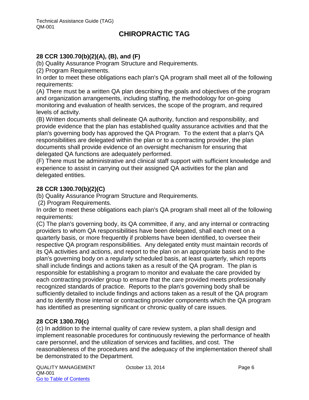#### **28 CCR 1300.70(b)(2)(A), (B), and (F)**

(b) Quality Assurance Program Structure and Requirements.

(2) Program Requirements.

In order to meet these obligations each plan's QA program shall meet all of the following requirements:

(A) There must be a written QA plan describing the goals and objectives of the program and organization arrangements, including staffing, the methodology for on-going monitoring and evaluation of health services, the scope of the program, and required levels of activity.

(B) Written documents shall delineate QA authority, function and responsibility, and provide evidence that the plan has established quality assurance activities and that the plan's governing body has approved the QA Program. To the extent that a plan's QA responsibilities are delegated within the plan or to a contracting provider, the plan documents shall provide evidence of an oversight mechanism for ensuring that delegated QA functions are adequately performed.

(F) There must be administrative and clinical staff support with sufficient knowledge and experience to assist in carrying out their assigned QA activities for the plan and delegated entities.

#### **28 CCR 1300.70(b)(2)(C)**

(b) Quality Assurance Program Structure and Requirements.

(2) Program Requirements.

In order to meet these obligations each plan's QA program shall meet all of the following requirements:

(C) The plan's governing body, its QA committee, if any, and any internal or contracting providers to whom QA responsibilities have been delegated, shall each meet on a quarterly basis, or more frequently if problems have been identified, to oversee their respective QA program responsibilities. Any delegated entity must maintain records of its QA activities and actions, and report to the plan on an appropriate basis and to the plan's governing body on a regularly scheduled basis, at least quarterly, which reports shall include findings and actions taken as a result of the QA program. The plan is responsible for establishing a program to monitor and evaluate the care provided by each contracting provider group to ensure that the care provided meets professionally recognized standards of practice. Reports to the plan's governing body shall be sufficiently detailed to include findings and actions taken as a result of the QA program and to identify those internal or contracting provider components which the QA program has identified as presenting significant or chronic quality of care issues.

#### **28 CCR 1300.70(c)**

(c) In addition to the internal quality of care review system, a plan shall design and implement reasonable procedures for continuously reviewing the performance of health care personnel, and the utilization of services and facilities, and cost. The reasonableness of the procedures and the adequacy of the implementation thereof shall be demonstrated to the Department.

QUALITY MANAGEMENT October 13, 2014 Page 6 QM-001 Go to Table of Contents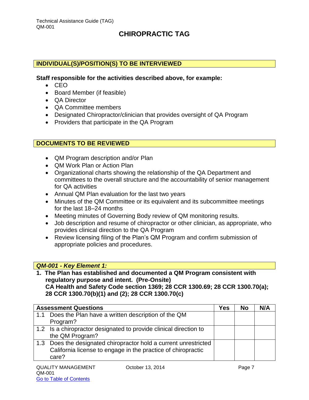#### **INDIVIDUAL(S)/POSITION(S) TO BE INTERVIEWED**

#### **Staff responsible for the activities described above, for example:**

- $\bullet$  CEO
- Board Member (if feasible)
- QA Director
- QA Committee members
- Designated Chiropractor/clinician that provides oversight of QA Program
- Providers that participate in the QA Program

#### **DOCUMENTS TO BE REVIEWED**

- QM Program description and/or Plan
- QM Work Plan or Action Plan
- Organizational charts showing the relationship of the QA Department and committees to the overall structure and the accountability of senior management for QA activities
- Annual QM Plan evaluation for the last two years
- Minutes of the QM Committee or its equivalent and its subcommittee meetings for the last 18–24 months
- Meeting minutes of Governing Body review of QM monitoring results.
- Job description and resume of chiropractor or other clinician, as appropriate, who provides clinical direction to the QA Program
- Review licensing filing of the Plan's QM Program and confirm submission of appropriate policies and procedures.

#### *QM-001 - Key Element 1:*

**1. The Plan has established and documented a QM Program consistent with regulatory purpose and intent. (Pre-Onsite) CA Health and Safety Code section 1369; 28 CCR 1300.69; 28 CCR 1300.70(a); 28 CCR 1300.70(b)(1) and (2); 28 CCR 1300.70(c)**

|     | <b>Assessment Questions</b>                                       | Yes | <b>No</b> | N/A |
|-----|-------------------------------------------------------------------|-----|-----------|-----|
| 1.1 | Does the Plan have a written description of the QM                |     |           |     |
|     | Program?                                                          |     |           |     |
|     | 1.2 Is a chiropractor designated to provide clinical direction to |     |           |     |
|     | the QM Program?                                                   |     |           |     |
|     | 1.3 Does the designated chiropractor hold a current unrestricted  |     |           |     |
|     | California license to engage in the practice of chiropractic      |     |           |     |
|     | care?                                                             |     |           |     |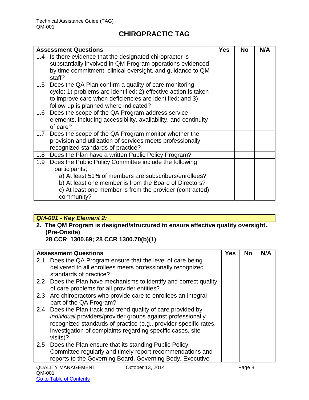|                  | <b>Assessment Questions</b>                                                                                                                                                                                                                                          | <b>Yes</b> | <b>No</b> | N/A |
|------------------|----------------------------------------------------------------------------------------------------------------------------------------------------------------------------------------------------------------------------------------------------------------------|------------|-----------|-----|
| 1.4              | Is there evidence that the designated chiropractor is<br>substantially involved in QM Program operations evidenced<br>by time commitment, clinical oversight, and guidance to QM<br>staff?                                                                           |            |           |     |
|                  | 1.5 Does the QA Plan confirm a quality of care monitoring<br>cycle: 1) problems are identified; 2) effective action is taken<br>to improve care when deficiencies are identified; and 3)<br>follow-up is planned where indicated?                                    |            |           |     |
| $1.6\,$          | Does the scope of the QA Program address service<br>elements, including accessibility, availability, and continuity<br>of care?                                                                                                                                      |            |           |     |
| 1.7              | Does the scope of the QA Program monitor whether the<br>provision and utilization of services meets professionally<br>recognized standards of practice?                                                                                                              |            |           |     |
|                  | 1.8 Does the Plan have a written Public Policy Program?                                                                                                                                                                                                              |            |           |     |
| 1.9 <sub>z</sub> | Does the Public Policy Committee include the following<br>participants;<br>a) At least 51% of members are subscribers/enrollees?<br>b) At least one member is from the Board of Directors?<br>c) At least one member is from the provider (contracted)<br>community? |            |           |     |

## *QM-001 - Key Element 2:*

**2. The QM Program is designed/structured to ensure effective quality oversight. (Pre-Onsite)** 

**28 CCR 1300.69; 28 CCR 1300.70(b)(1)**

|     | <b>Assessment Questions</b>                                                                                                                                                                                                                                                | <b>Yes</b> | <b>No</b> | N/A |
|-----|----------------------------------------------------------------------------------------------------------------------------------------------------------------------------------------------------------------------------------------------------------------------------|------------|-----------|-----|
| 2.1 | Does the QA Program ensure that the level of care being<br>delivered to all enrollees meets professionally recognized<br>standards of practice?                                                                                                                            |            |           |     |
|     | 2.2 Does the Plan have mechanisms to identify and correct quality<br>of care problems for all provider entities?                                                                                                                                                           |            |           |     |
|     | 2.3 Are chiropractors who provide care to enrollees an integral<br>part of the QA Program?                                                                                                                                                                                 |            |           |     |
|     | 2.4 Does the Plan track and trend quality of care provided by<br>individual providers/provider groups against professionally<br>recognized standards of practice (e.g., provider-specific rates,<br>investigation of complaints regarding specific cases, site<br>visits)? |            |           |     |
| 2.5 | Does the Plan ensure that its standing Public Policy<br>Committee regularly and timely report recommendations and<br>reports to the Governing Board, Governing Body, Executive                                                                                             |            |           |     |
|     | <b>QUALITY MANAGEMENT</b><br>October 13, 2014                                                                                                                                                                                                                              |            | Page 8    |     |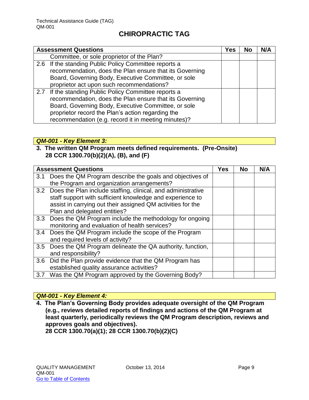| <b>Assessment Questions</b>                             | Yes | No | N/A |
|---------------------------------------------------------|-----|----|-----|
| Committee, or sole proprietor of the Plan?              |     |    |     |
| 2.6 If the standing Public Policy Committee reports a   |     |    |     |
| recommendation, does the Plan ensure that its Governing |     |    |     |
| Board, Governing Body, Executive Committee, or sole     |     |    |     |
| proprietor act upon such recommendations?               |     |    |     |
| 2.7 If the standing Public Policy Committee reports a   |     |    |     |
| recommendation, does the Plan ensure that its Governing |     |    |     |
| Board, Governing Body, Executive Committee, or sole     |     |    |     |
| proprietor record the Plan's action regarding the       |     |    |     |
| recommendation (e.g. record it in meeting minutes)?     |     |    |     |

#### *QM-001 - Key Element 3:*

#### **3. The written QM Program meets defined requirements. (Pre-Onsite) 28 CCR 1300.70(b)(2)(A), (B), and (F)**

|     | <b>Assessment Questions</b>                                      | Yes | <b>No</b> | N/A |
|-----|------------------------------------------------------------------|-----|-----------|-----|
| 3.1 | Does the QM Program describe the goals and objectives of         |     |           |     |
|     | the Program and organization arrangements?                       |     |           |     |
|     | 3.2 Does the Plan include staffing, clinical, and administrative |     |           |     |
|     | staff support with sufficient knowledge and experience to        |     |           |     |
|     | assist in carrying out their assigned QM activities for the      |     |           |     |
|     | Plan and delegated entities?                                     |     |           |     |
| 3.3 | Does the QM Program include the methodology for ongoing          |     |           |     |
|     | monitoring and evaluation of health services?                    |     |           |     |
| 3.4 | Does the QM Program include the scope of the Program             |     |           |     |
|     | and required levels of activity?                                 |     |           |     |
| 3.5 | Does the QM Program delineate the QA authority, function,        |     |           |     |
|     | and responsibility?                                              |     |           |     |
| 3.6 | Did the Plan provide evidence that the QM Program has            |     |           |     |
|     | established quality assurance activities?                        |     |           |     |
| 3.7 | Was the QM Program approved by the Governing Body?               |     |           |     |

#### *QM-001 - Key Element 4:*

**4. The Plan's Governing Body provides adequate oversight of the QM Program (e.g., reviews detailed reports of findings and actions of the QM Program at least quarterly, periodically reviews the QM Program description, reviews and approves goals and objectives).** 

**28 CCR 1300.70(a)(1); 28 CCR 1300.70(b)(2)(C)**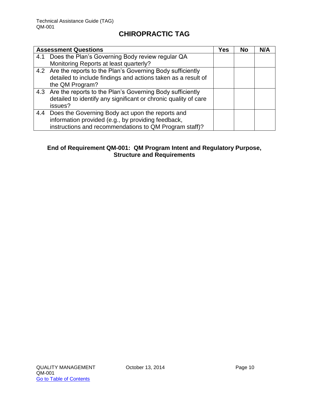|     | <b>Assessment Questions</b>                                     | Yes | <b>No</b> | N/A |
|-----|-----------------------------------------------------------------|-----|-----------|-----|
| 4.1 | Does the Plan's Governing Body review regular QA                |     |           |     |
|     | Monitoring Reports at least quarterly?                          |     |           |     |
|     | 4.2 Are the reports to the Plan's Governing Body sufficiently   |     |           |     |
|     | detailed to include findings and actions taken as a result of   |     |           |     |
|     | the QM Program?                                                 |     |           |     |
|     | 4.3 Are the reports to the Plan's Governing Body sufficiently   |     |           |     |
|     | detailed to identify any significant or chronic quality of care |     |           |     |
|     | issues?                                                         |     |           |     |
| 4.4 | Does the Governing Body act upon the reports and                |     |           |     |
|     | information provided (e.g., by providing feedback,              |     |           |     |
|     | instructions and recommendations to QM Program staff)?          |     |           |     |

#### **End of Requirement QM-001: QM Program Intent and Regulatory Purpose, Structure and Requirements**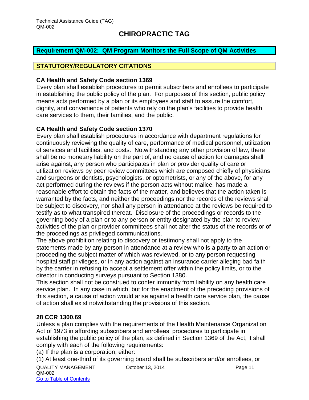#### <span id="page-11-0"></span>**Requirement QM-002: QM Program Monitors the Full Scope of QM Activities**

#### **STATUTORY/REGULATORY CITATIONS**

#### **CA Health and Safety Code section 1369**

Every plan shall establish procedures to permit subscribers and enrollees to participate in establishing the public policy of the plan. For purposes of this section, public policy means acts performed by a plan or its employees and staff to assure the comfort, dignity, and convenience of patients who rely on the plan's facilities to provide health care services to them, their families, and the public.

#### **CA Health and Safety Code section 1370**

Every plan shall establish procedures in accordance with department regulations for continuously reviewing the quality of care, performance of medical personnel, utilization of services and facilities, and costs. Notwithstanding any other provision of law, there shall be no monetary liability on the part of, and no cause of action for damages shall arise against, any person who participates in plan or provider quality of care or utilization reviews by peer review committees which are composed chiefly of physicians and surgeons or dentists, psychologists, or optometrists, or any of the above, for any act performed during the reviews if the person acts without malice, has made a reasonable effort to obtain the facts of the matter, and believes that the action taken is warranted by the facts, and neither the proceedings nor the records of the reviews shall be subject to discovery, nor shall any person in attendance at the reviews be required to testify as to what transpired thereat. Disclosure of the proceedings or records to the governing body of a plan or to any person or entity designated by the plan to review activities of the plan or provider committees shall not alter the status of the records or of the proceedings as privileged communications.

The above prohibition relating to discovery or testimony shall not apply to the statements made by any person in attendance at a review who is a party to an action or proceeding the subject matter of which was reviewed, or to any person requesting hospital staff privileges, or in any action against an insurance carrier alleging bad faith by the carrier in refusing to accept a settlement offer within the policy limits, or to the director in conducting surveys pursuant to Section 1380.

This section shall not be construed to confer immunity from liability on any health care service plan. In any case in which, but for the enactment of the preceding provisions of this section, a cause of action would arise against a health care service plan, the cause of action shall exist notwithstanding the provisions of this section.

#### **28 CCR 1300.69**

Unless a plan complies with the requirements of the Health Maintenance Organization Act of 1973 in affording subscribers and enrollees' procedures to participate in establishing the public policy of the plan, as defined in Section 1369 of the Act, it shall comply with each of the following requirements:

(a) If the plan is a corporation, either:

(1) At least one-third of its governing board shall be subscribers and/or enrollees, or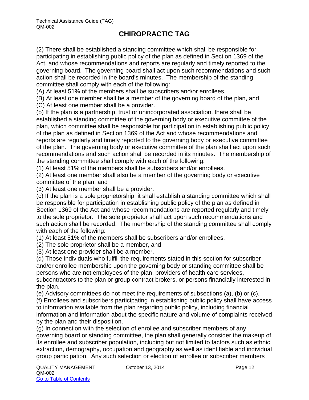(2) There shall be established a standing committee which shall be responsible for participating in establishing public policy of the plan as defined in Section 1369 of the Act, and whose recommendations and reports are regularly and timely reported to the governing board. The governing board shall act upon such recommendations and such action shall be recorded in the board's minutes. The membership of the standing committee shall comply with each of the following:

(A) At least 51% of the members shall be subscribers and/or enrollees,

(B) At least one member shall be a member of the governing board of the plan, and

(C) At least one member shall be a provider.

(b) If the plan is a partnership, trust or unincorporated association, there shall be established a standing committee of the governing body or executive committee of the plan, which committee shall be responsible for participation in establishing public policy of the plan as defined in Section 1369 of the Act and whose recommendations and reports are regularly and timely reported to the governing body or executive committee of the plan. The governing body or executive committee of the plan shall act upon such recommendations and such action shall be recorded in its minutes. The membership of the standing committee shall comply with each of the following:

(1) At least 51% of the members shall be subscribers and/or enrollees,

(2) At least one member shall also be a member of the governing body or executive committee of the plan, and

(3) At least one member shall be a provider.

(c) If the plan is a sole proprietorship, it shall establish a standing committee which shall be responsible for participation in establishing public policy of the plan as defined in Section 1369 of the Act and whose recommendations are reported regularly and timely to the sole proprietor. The sole proprietor shall act upon such recommendations and such action shall be recorded. The membership of the standing committee shall comply with each of the following:

(1) At least 51% of the members shall be subscribers and/or enrollees,

(2) The sole proprietor shall be a member, and

(3) At least one provider shall be a member.

(d) Those individuals who fulfill the requirements stated in this section for subscriber and/or enrollee membership upon the governing body or standing committee shall be persons who are not employees of the plan, providers of health care services,

subcontractors to the plan or group contract brokers, or persons financially interested in the plan.

(e) Advisory committees do not meet the requirements of subsections (a), (b) or (c).

(f) Enrollees and subscribers participating in establishing public policy shall have access to information available from the plan regarding public policy, including financial information and information about the specific nature and volume of complaints received by the plan and their disposition.

(g) In connection with the selection of enrollee and subscriber members of any governing board or standing committee, the plan shall generally consider the makeup of its enrollee and subscriber population, including but not limited to factors such as ethnic extraction, demography, occupation and geography as well as identifiable and individual group participation. Any such selection or election of enrollee or subscriber members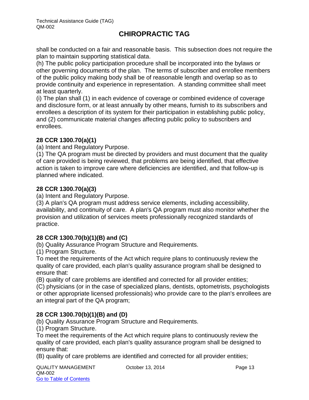shall be conducted on a fair and reasonable basis. This subsection does not require the plan to maintain supporting statistical data.

(h) The public policy participation procedure shall be incorporated into the bylaws or other governing documents of the plan. The terms of subscriber and enrollee members of the public policy making body shall be of reasonable length and overlap so as to provide continuity and experience in representation. A standing committee shall meet at least quarterly.

(i) The plan shall (1) in each evidence of coverage or combined evidence of coverage and disclosure form, or at least annually by other means, furnish to its subscribers and enrollees a description of its system for their participation in establishing public policy, and (2) communicate material changes affecting public policy to subscribers and enrollees.

#### **28 CCR 1300.70(a)(1)**

(a) Intent and Regulatory Purpose.

(1) The QA program must be directed by providers and must document that the quality of care provided is being reviewed, that problems are being identified, that effective action is taken to improve care where deficiencies are identified, and that follow-up is planned where indicated.

#### **28 CCR 1300.70(a)(3)**

(a) Intent and Regulatory Purpose.

(3) A plan's QA program must address service elements, including accessibility, availability, and continuity of care. A plan's QA program must also monitor whether the provision and utilization of services meets professionally recognized standards of practice.

#### **28 CCR 1300.70(b)(1)(B) and (C)**

(b) Quality Assurance Program Structure and Requirements.

(1) Program Structure.

To meet the requirements of the Act which require plans to continuously review the quality of care provided, each plan's quality assurance program shall be designed to ensure that:

(B) quality of care problems are identified and corrected for all provider entities;

(C) physicians (or in the case of specialized plans, dentists, optometrists, psychologists or other appropriate licensed professionals) who provide care to the plan's enrollees are an integral part of the QA program;

#### **28 CCR 1300.70(b)(1)(B) and (D)**

(b) Quality Assurance Program Structure and Requirements.

(1) Program Structure.

To meet the requirements of the Act which require plans to continuously review the quality of care provided, each plan's quality assurance program shall be designed to ensure that:

(B) quality of care problems are identified and corrected for all provider entities;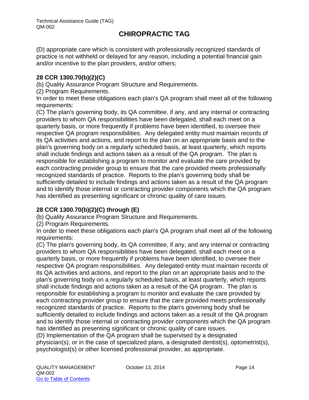(D) appropriate care which is consistent with professionally recognized standards of practice is not withheld or delayed for any reason, including a potential financial gain and/or incentive to the plan providers, and/or others;

#### **28 CCR 1300.70(b)(2)(C)**

(b) Quality Assurance Program Structure and Requirements.

(2) Program Requirements.

In order to meet these obligations each plan's QA program shall meet all of the following requirements:

(C) The plan's governing body, its QA committee, if any, and any internal or contracting providers to whom QA responsibilities have been delegated, shall each meet on a quarterly basis, or more frequently if problems have been identified, to oversee their respective QA program responsibilities. Any delegated entity must maintain records of its QA activities and actions, and report to the plan on an appropriate basis and to the plan's governing body on a regularly scheduled basis, at least quarterly, which reports shall include findings and actions taken as a result of the QA program. The plan is responsible for establishing a program to monitor and evaluate the care provided by each contracting provider group to ensure that the care provided meets professionally recognized standards of practice. Reports to the plan's governing body shall be sufficiently detailed to include findings and actions taken as a result of the QA program and to identify those internal or contracting provider components which the QA program has identified as presenting significant or chronic quality of care issues.

#### **28 CCR 1300.70(b)(2)(C) through (E)**

(b) Quality Assurance Program Structure and Requirements.

(2) Program Requirements.

In order to meet these obligations each plan's QA program shall meet all of the following requirements:

(C) The plan's governing body, its QA committee, if any, and any internal or contracting providers to whom QA responsibilities have been delegated, shall each meet on a quarterly basis, or more frequently if problems have been identified, to oversee their respective QA program responsibilities. Any delegated entity must maintain records of its QA activities and actions, and report to the plan on an appropriate basis and to the plan's governing body on a regularly scheduled basis, at least quarterly, which reports shall include findings and actions taken as a result of the QA program. The plan is responsible for establishing a program to monitor and evaluate the care provided by each contracting provider group to ensure that the care provided meets professionally recognized standards of practice. Reports to the plan's governing body shall be sufficiently detailed to include findings and actions taken as a result of the QA program and to identify those internal or contracting provider components which the QA program has identified as presenting significant or chronic quality of care issues.

(D) Implementation of the QA program shall be supervised by a designated physician(s), or in the case of specialized plans, a designated dentist(s), optometrist(s), psychologist(s) or other licensed professional provider, as appropriate.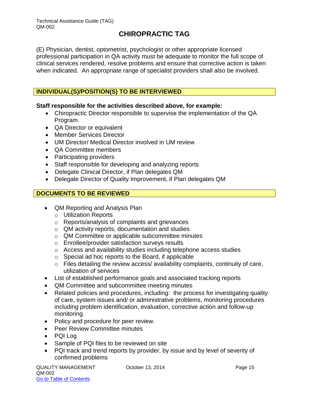(E) Physician, dentist, optometrist, psychologist or other appropriate licensed professional participation in QA activity must be adequate to monitor the full scope of clinical services rendered, resolve problems and ensure that corrective action is taken when indicated. An appropriate range of specialist providers shall also be involved.

#### **INDIVIDUAL(S)/POSITION(S) TO BE INTERVIEWED**

#### **Staff responsible for the activities described above, for example:**

- Chiropractic Director responsible to supervise the implementation of the QA Program.
- QA Director or equivalent
- Member Services Director
- UM Director/ Medical Director involved in UM review
- QA Committee members
- Participating providers
- Staff responsible for developing and analyzing reports
- Delegate Clinical Director, if Plan delegates QM
- Delegate Director of Quality Improvement, if Plan delegates QM

#### **DOCUMENTS TO BE REVIEWED**

- QM Reporting and Analysis Plan
	- o Utilization Reports
	- o Reports/analysis of complaints and grievances
	- o QM activity reports, documentation and studies
	- o QM Committee or applicable subcommittee minutes
	- o Enrollee/provider satisfaction surveys results
	- o Access and availability studies including telephone access studies
	- o Special ad hoc reports to the Board, if applicable
	- $\circ$  Files detailing the review access/ availability complaints, continuity of care, utilization of services
- List of established performance goals and associated tracking reports
- QM Committee and subcommittee meeting minutes
- Related policies and procedures, including: the process for investigating quality of care, system issues and/ or administrative problems, monitoring procedures including problem identification, evaluation, corrective action and follow-up monitoring.
- Policy and procedure for peer review.
- Peer Review Committee minutes
- PQI Log
- Sample of PQI files to be reviewed on site
- PQI track and trend reports by provider, by issue and by level of severity of confirmed problems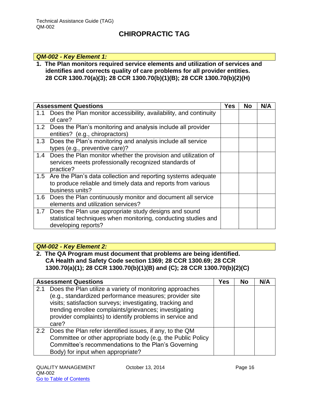#### *QM-002 - Key Element 1:*

**1. The Plan monitors required service elements and utilization of services and identifies and corrects quality of care problems for all provider entities. 28 CCR 1300.70(a)(3); 28 CCR 1300.70(b)(1)(B); 28 CCR 1300.70(b)(2)(H)**

|     | <b>Assessment Questions</b>                                                                                                                          | Yes | <b>No</b> | N/A |
|-----|------------------------------------------------------------------------------------------------------------------------------------------------------|-----|-----------|-----|
| 1.1 | Does the Plan monitor accessibility, availability, and continuity<br>of care?                                                                        |     |           |     |
| 1.2 | Does the Plan's monitoring and analysis include all provider<br>entities? (e.g., chiropractors)                                                      |     |           |     |
| 1.3 | Does the Plan's monitoring and analysis include all service<br>types (e.g., preventive care)?                                                        |     |           |     |
|     | 1.4 Does the Plan monitor whether the provision and utilization of<br>services meets professionally recognized standards of<br>practice?             |     |           |     |
|     | 1.5 Are the Plan's data collection and reporting systems adequate<br>to produce reliable and timely data and reports from various<br>business units? |     |           |     |
|     | 1.6 Does the Plan continuously monitor and document all service<br>elements and utilization services?                                                |     |           |     |
| 1.7 | Does the Plan use appropriate study designs and sound<br>statistical techniques when monitoring, conducting studies and<br>developing reports?       |     |           |     |

#### *QM-002 - Key Element 2:*

**2. The QA Program must document that problems are being identified. CA Health and Safety Code section 1369; 28 CCR 1300.69; 28 CCR 1300.70(a)(1); 28 CCR 1300.70(b)(1)(B) and (C); 28 CCR 1300.70(b)(2)(C)**

|     | <b>Assessment Questions</b>                                                                                                                                                                                                                                                                                     | Yes | <b>No</b> | N/A |
|-----|-----------------------------------------------------------------------------------------------------------------------------------------------------------------------------------------------------------------------------------------------------------------------------------------------------------------|-----|-----------|-----|
| 2.1 | Does the Plan utilize a variety of monitoring approaches<br>(e.g., standardized performance measures; provider site<br>visits; satisfaction surveys; investigating, tracking and<br>trending enrollee complaints/grievances; investigating<br>provider complaints) to identify problems in service and<br>care? |     |           |     |
|     | 2.2 Does the Plan refer identified issues, if any, to the QM<br>Committee or other appropriate body (e.g. the Public Policy<br>Committee's recommendations to the Plan's Governing<br>Body) for input when appropriate?                                                                                         |     |           |     |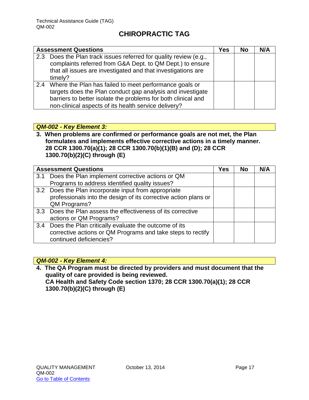| <b>Assessment Questions</b>                                                                                                                                                                                                                       | Yes | No | N/A |
|---------------------------------------------------------------------------------------------------------------------------------------------------------------------------------------------------------------------------------------------------|-----|----|-----|
| 2.3 Does the Plan track issues referred for quality review (e.g.,<br>complaints referred from G&A Dept. to QM Dept.) to ensure<br>that all issues are investigated and that investigations are<br>timely?                                         |     |    |     |
| 2.4 Where the Plan has failed to meet performance goals or<br>targets does the Plan conduct gap analysis and investigate<br>barriers to better isolate the problems for both clinical and<br>non-clinical aspects of its health service delivery? |     |    |     |

#### *QM-002 - Key Element 3:*

**3. When problems are confirmed or performance goals are not met, the Plan formulates and implements effective corrective actions in a timely manner. 28 CCR 1300.70(a)(1); 28 CCR 1300.70(b)(1)(B) and (D); 28 CCR 1300.70(b)(2)(C) through (E)**

|     | <b>Assessment Questions</b>                                     | Yes | <b>No</b> | N/A |
|-----|-----------------------------------------------------------------|-----|-----------|-----|
| 3.1 | Does the Plan implement corrective actions or QM                |     |           |     |
|     | Programs to address identified quality issues?                  |     |           |     |
|     | 3.2 Does the Plan incorporate input from appropriate            |     |           |     |
|     | professionals into the design of its corrective action plans or |     |           |     |
|     | QM Programs?                                                    |     |           |     |
|     | 3.3 Does the Plan assess the effectiveness of its corrective    |     |           |     |
|     | actions or QM Programs?                                         |     |           |     |
|     | 3.4 Does the Plan critically evaluate the outcome of its        |     |           |     |
|     | corrective actions or QM Programs and take steps to rectify     |     |           |     |
|     | continued deficiencies?                                         |     |           |     |

#### *QM-002 - Key Element 4:*

**4. The QA Program must be directed by providers and must document that the quality of care provided is being reviewed. CA Health and Safety Code section 1370; 28 CCR 1300.70(a)(1); 28 CCR 1300.70(b)(2)(C) through (E)**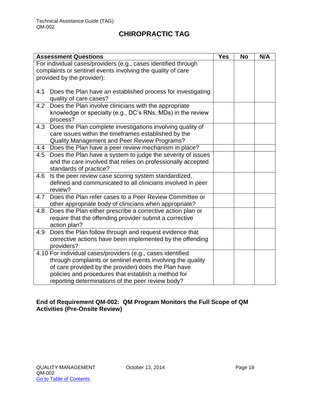|     | <b>Assessment Questions</b>                                                                                                                                                                                                                                                                    | <b>Yes</b> | <b>No</b> | N/A |
|-----|------------------------------------------------------------------------------------------------------------------------------------------------------------------------------------------------------------------------------------------------------------------------------------------------|------------|-----------|-----|
|     | For individual cases/providers (e.g., cases identified through<br>complaints or sentinel events involving the quality of care                                                                                                                                                                  |            |           |     |
|     | provided by the provider):                                                                                                                                                                                                                                                                     |            |           |     |
| 4.1 | Does the Plan have an established process for investigating<br>quality of care cases?                                                                                                                                                                                                          |            |           |     |
| 4.2 | Does the Plan involve clinicians with the appropriate<br>knowledge or specialty (e.g., DC's RNs, MDs) in the review<br>process?                                                                                                                                                                |            |           |     |
| 4.3 | Does the Plan complete investigations involving quality of<br>care issues within the timeframes established by the<br>Quality Management and Peer Review Programs?                                                                                                                             |            |           |     |
| 4.4 | Does the Plan have a peer review mechanism in place?                                                                                                                                                                                                                                           |            |           |     |
| 4.5 | Does the Plan have a system to judge the severity of issues<br>and the care involved that relies on professionally accepted<br>standards of practice?                                                                                                                                          |            |           |     |
| 4.6 | Is the peer review case scoring system standardized,<br>defined and communicated to all clinicians involved in peer<br>review?                                                                                                                                                                 |            |           |     |
| 4.7 | Does the Plan refer cases to a Peer Review Committee or<br>other appropriate body of clinicians when appropriate?                                                                                                                                                                              |            |           |     |
| 4.8 | Does the Plan either prescribe a corrective action plan or<br>require that the offending provider submit a corrective<br>action plan?                                                                                                                                                          |            |           |     |
| 4.9 | Does the Plan follow through and request evidence that<br>corrective actions have been implemented by the offending<br>providers?                                                                                                                                                              |            |           |     |
|     | 4.10 For individual cases/providers (e.g., cases identified<br>through complaints or sentinel events involving the quality<br>of care provided by the provider) does the Plan have<br>policies and procedures that establish a method for<br>reporting determinations of the peer review body? |            |           |     |

#### **End of Requirement QM-002: QM Program Monitors the Full Scope of QM Activities (Pre-Onsite Review)**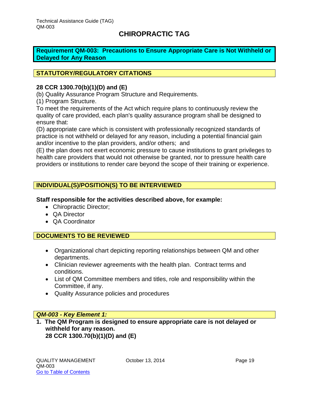<span id="page-19-0"></span>**Requirement QM-003: Precautions to Ensure Appropriate Care is Not Withheld or Delayed for Any Reason**

#### **STATUTORY/REGULATORY CITATIONS**

#### **28 CCR 1300.70(b)(1)(D) and (E)**

(b) Quality Assurance Program Structure and Requirements.

(1) Program Structure.

To meet the requirements of the Act which require plans to continuously review the quality of care provided, each plan's quality assurance program shall be designed to ensure that:

(D) appropriate care which is consistent with professionally recognized standards of practice is not withheld or delayed for any reason, including a potential financial gain and/or incentive to the plan providers, and/or others; and

(E) the plan does not exert economic pressure to cause institutions to grant privileges to health care providers that would not otherwise be granted, nor to pressure health care providers or institutions to render care beyond the scope of their training or experience.

#### **INDIVIDUAL(S)/POSITION(S) TO BE INTERVIEWED**

**Staff responsible for the activities described above, for example:**

- Chiropractic Director:
- QA Director
- QA Coordinator

#### **DOCUMENTS TO BE REVIEWED**

- Organizational chart depicting reporting relationships between QM and other departments.
- Clinician reviewer agreements with the health plan. Contract terms and conditions.
- List of QM Committee members and titles, role and responsibility within the Committee, if any.
- Quality Assurance policies and procedures

#### *QM-003 - Key Element 1:*

#### **1. The QM Program is designed to ensure appropriate care is not delayed or withheld for any reason. 28 CCR 1300.70(b)(1)(D) and (E)**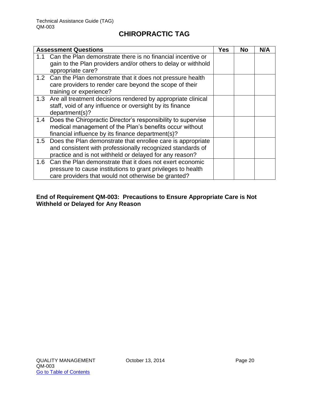|     | <b>Assessment Questions</b>                                                        | <b>Yes</b> | No | N/A |
|-----|------------------------------------------------------------------------------------|------------|----|-----|
| 1.1 | Can the Plan demonstrate there is no financial incentive or                        |            |    |     |
|     | gain to the Plan providers and/or others to delay or withhold<br>appropriate care? |            |    |     |
|     | 1.2 Can the Plan demonstrate that it does not pressure health                      |            |    |     |
|     | care providers to render care beyond the scope of their<br>training or experience? |            |    |     |
|     | 1.3 Are all treatment decisions rendered by appropriate clinical                   |            |    |     |
|     | staff, void of any influence or oversight by its finance                           |            |    |     |
|     | department(s)?                                                                     |            |    |     |
| 1.4 | Does the Chiropractic Director's responsibility to supervise                       |            |    |     |
|     | medical management of the Plan's benefits occur without                            |            |    |     |
|     | financial influence by its finance department(s)?                                  |            |    |     |
|     | 1.5 Does the Plan demonstrate that enrollee care is appropriate                    |            |    |     |
|     | and consistent with professionally recognized standards of                         |            |    |     |
|     | practice and is not withheld or delayed for any reason?                            |            |    |     |
| 1.6 | Can the Plan demonstrate that it does not exert economic                           |            |    |     |
|     | pressure to cause institutions to grant privileges to health                       |            |    |     |
|     | care providers that would not otherwise be granted?                                |            |    |     |

#### **End of Requirement QM-003: Precautions to Ensure Appropriate Care is Not Withheld or Delayed for Any Reason**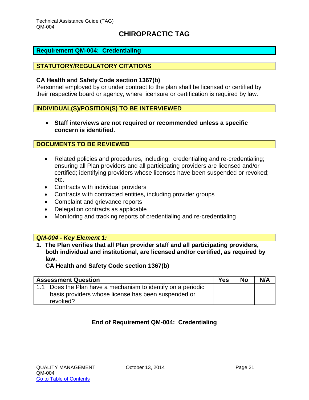#### <span id="page-21-0"></span>**Requirement QM-004: Credentialing**

#### **STATUTORY/REGULATORY CITATIONS**

#### **CA Health and Safety Code section 1367(b)**

Personnel employed by or under contract to the plan shall be licensed or certified by their respective board or agency, where licensure or certification is required by law.

#### **INDIVIDUAL(S)/POSITION(S) TO BE INTERVIEWED**

 **Staff interviews are not required or recommended unless a specific concern is identified.**

#### **DOCUMENTS TO BE REVIEWED**

- Related policies and procedures, including: credentialing and re-credentialing; ensuring all Plan providers and all participating providers are licensed and/or certified; identifying providers whose licenses have been suspended or revoked; etc.
- Contracts with individual providers
- Contracts with contracted entities, including provider groups
- Complaint and grievance reports
- Delegation contracts as applicable
- Monitoring and tracking reports of credentialing and re-credentialing

#### *QM-004 - Key Element 1:*

**1. The Plan verifies that all Plan provider staff and all participating providers, both individual and institutional, are licensed and/or certified, as required by law.** 

**CA Health and Safety Code section 1367(b)**

| <b>Assessment Question</b> |                                                                                                                             | Yes | <b>No</b> | N/A |
|----------------------------|-----------------------------------------------------------------------------------------------------------------------------|-----|-----------|-----|
|                            | Does the Plan have a mechanism to identify on a periodic<br>basis providers whose license has been suspended or<br>revoked? |     |           |     |

#### **End of Requirement QM-004: Credentialing**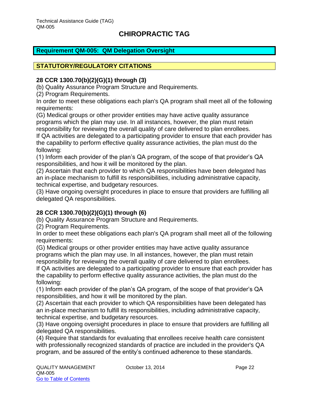#### <span id="page-22-0"></span>**Requirement QM-005: QM Delegation Oversight**

#### **STATUTORY/REGULATORY CITATIONS**

#### **28 CCR 1300.70(b)(2)(G)(1) through (3)**

(b) Quality Assurance Program Structure and Requirements.

(2) Program Requirements.

In order to meet these obligations each plan's QA program shall meet all of the following requirements:

(G) Medical groups or other provider entities may have active quality assurance programs which the plan may use. In all instances, however, the plan must retain responsibility for reviewing the overall quality of care delivered to plan enrollees.

If QA activities are delegated to a participating provider to ensure that each provider has the capability to perform effective quality assurance activities, the plan must do the following:

(1) Inform each provider of the plan's QA program, of the scope of that provider's QA responsibilities, and how it will be monitored by the plan.

(2) Ascertain that each provider to which QA responsibilities have been delegated has an in-place mechanism to fulfill its responsibilities, including administrative capacity, technical expertise, and budgetary resources.

(3) Have ongoing oversight procedures in place to ensure that providers are fulfilling all delegated QA responsibilities.

#### **28 CCR 1300.70(b)(2)(G)(1) through (6)**

(b) Quality Assurance Program Structure and Requirements.

(2) Program Requirements.

In order to meet these obligations each plan's QA program shall meet all of the following requirements:

(G) Medical groups or other provider entities may have active quality assurance programs which the plan may use. In all instances, however, the plan must retain responsibility for reviewing the overall quality of care delivered to plan enrollees.

If QA activities are delegated to a participating provider to ensure that each provider has the capability to perform effective quality assurance activities, the plan must do the following:

(1) Inform each provider of the plan's QA program, of the scope of that provider's QA responsibilities, and how it will be monitored by the plan.

(2) Ascertain that each provider to which QA responsibilities have been delegated has an in-place mechanism to fulfill its responsibilities, including administrative capacity, technical expertise, and budgetary resources.

(3) Have ongoing oversight procedures in place to ensure that providers are fulfilling all delegated QA responsibilities.

(4) Require that standards for evaluating that enrollees receive health care consistent with professionally recognized standards of practice are included in the provider's QA program, and be assured of the entity's continued adherence to these standards.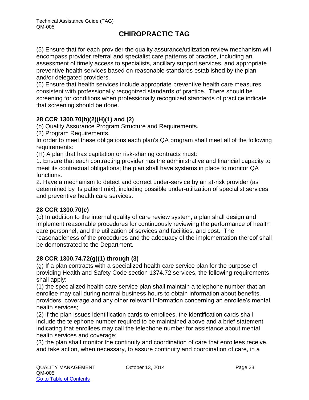(5) Ensure that for each provider the quality assurance/utilization review mechanism will encompass provider referral and specialist care patterns of practice, including an assessment of timely access to specialists, ancillary support services, and appropriate preventive health services based on reasonable standards established by the plan and/or delegated providers.

(6) Ensure that health services include appropriate preventive health care measures consistent with professionally recognized standards of practice. There should be screening for conditions when professionally recognized standards of practice indicate that screening should be done.

#### **28 CCR 1300.70(b)(2)(H)(1) and (2)**

(b) Quality Assurance Program Structure and Requirements.

(2) Program Requirements.

In order to meet these obligations each plan's QA program shall meet all of the following requirements:

(H) A plan that has capitation or risk-sharing contracts must:

1. Ensure that each contracting provider has the administrative and financial capacity to meet its contractual obligations; the plan shall have systems in place to monitor QA functions.

2. Have a mechanism to detect and correct under-service by an at-risk provider (as determined by its patient mix), including possible under-utilization of specialist services and preventive health care services.

#### **28 CCR 1300.70(c)**

(c) In addition to the internal quality of care review system, a plan shall design and implement reasonable procedures for continuously reviewing the performance of health care personnel, and the utilization of services and facilities, and cost. The reasonableness of the procedures and the adequacy of the implementation thereof shall be demonstrated to the Department.

#### **28 CCR 1300.74.72(g)(1) through (3)**

(g) If a plan contracts with a specialized health care service plan for the purpose of providing Health and Safety Code section 1374.72 services, the following requirements shall apply:

(1) the specialized health care service plan shall maintain a telephone number that an enrollee may call during normal business hours to obtain information about benefits, providers, coverage and any other relevant information concerning an enrollee's mental health services;

(2) if the plan issues identification cards to enrollees, the identification cards shall include the telephone number required to be maintained above and a brief statement indicating that enrollees may call the telephone number for assistance about mental health services and coverage;

(3) the plan shall monitor the continuity and coordination of care that enrollees receive, and take action, when necessary, to assure continuity and coordination of care, in a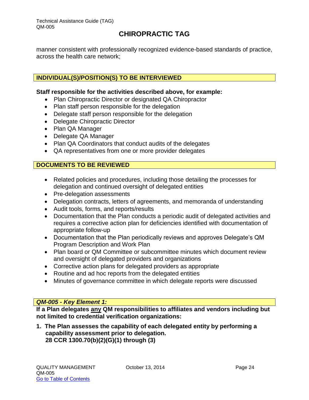manner consistent with professionally recognized evidence-based standards of practice, across the health care network;

#### **INDIVIDUAL(S)/POSITION(S) TO BE INTERVIEWED**

#### **Staff responsible for the activities described above, for example:**

- Plan Chiropractic Director or designated QA Chiropractor
- Plan staff person responsible for the delegation
- Delegate staff person responsible for the delegation
- Delegate Chiropractic Director
- Plan QA Manager
- Delegate QA Manager
- Plan QA Coordinators that conduct audits of the delegates
- QA representatives from one or more provider delegates

#### **DOCUMENTS TO BE REVIEWED**

- Related policies and procedures, including those detailing the processes for delegation and continued oversight of delegated entities
- Pre-delegation assessments
- Delegation contracts, letters of agreements, and memoranda of understanding
- Audit tools, forms, and reports/results
- Documentation that the Plan conducts a periodic audit of delegated activities and requires a corrective action plan for deficiencies identified with documentation of appropriate follow-up
- Documentation that the Plan periodically reviews and approves Delegate's QM Program Description and Work Plan
- Plan board or QM Committee or subcommittee minutes which document review and oversight of delegated providers and organizations
- Corrective action plans for delegated providers as appropriate
- Routine and ad hoc reports from the delegated entities
- Minutes of governance committee in which delegate reports were discussed

#### *QM-005 - Key Element 1:*

**If a Plan delegates any QM responsibilities to affiliates and vendors including but not limited to credential verification organizations:** 

**1. The Plan assesses the capability of each delegated entity by performing a capability assessment prior to delegation. 28 CCR 1300.70(b)(2)(G)(1) through (3)**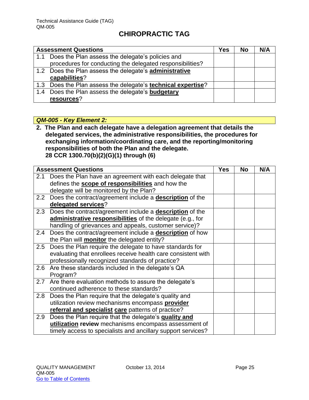| <b>Assessment Questions</b> |                                                              | Yes | <b>No</b> | N/A |
|-----------------------------|--------------------------------------------------------------|-----|-----------|-----|
| 1.1                         | Does the Plan assess the delegate's policies and             |     |           |     |
|                             | procedures for conducting the delegated responsibilities?    |     |           |     |
|                             | 1.2 Does the Plan assess the delegate's administrative       |     |           |     |
|                             | capabilities?                                                |     |           |     |
|                             | 1.3 Does the Plan assess the delegate's technical expertise? |     |           |     |
| 1.4                         | Does the Plan assess the delegate's <b>budgetary</b>         |     |           |     |
|                             | resources?                                                   |     |           |     |

## *QM-005 - Key Element 2:*

**2. The Plan and each delegate have a delegation agreement that details the delegated services, the administrative responsibilities, the procedures for exchanging information/coordinating care, and the reporting/monitoring responsibilities of both the Plan and the delegate. 28 CCR 1300.70(b)(2)(G)(1) through (6)**

| <b>Assessment Questions</b> |                                                                     | <b>Yes</b> | <b>No</b> | N/A |
|-----------------------------|---------------------------------------------------------------------|------------|-----------|-----|
| 2.1                         | Does the Plan have an agreement with each delegate that             |            |           |     |
|                             | defines the <b>scope of responsibilities</b> and how the            |            |           |     |
|                             | delegate will be monitored by the Plan?                             |            |           |     |
|                             | 2.2 Does the contract/agreement include a <b>description</b> of the |            |           |     |
|                             | delegated services?                                                 |            |           |     |
| 2.3                         | Does the contract/agreement include a <b>description</b> of the     |            |           |     |
|                             | administrative responsibilities of the delegate (e.g., for          |            |           |     |
|                             | handling of grievances and appeals, customer service)?              |            |           |     |
|                             | 2.4 Does the contract/agreement include a <b>description</b> of how |            |           |     |
|                             | the Plan will <b>monitor</b> the delegated entity?                  |            |           |     |
|                             | 2.5 Does the Plan require the delegate to have standards for        |            |           |     |
|                             | evaluating that enrollees receive health care consistent with       |            |           |     |
|                             | professionally recognized standards of practice?                    |            |           |     |
|                             | 2.6 Are these standards included in the delegate's QA               |            |           |     |
|                             | Program?                                                            |            |           |     |
| 2.7                         | Are there evaluation methods to assure the delegate's               |            |           |     |
|                             | continued adherence to these standards?                             |            |           |     |
|                             | 2.8 Does the Plan require that the delegate's quality and           |            |           |     |
|                             | utilization review mechanisms encompass provider                    |            |           |     |
|                             | referral and specialist care patterns of practice?                  |            |           |     |
| 2.9                         | Does the Plan require that the delegate's quality and               |            |           |     |
|                             | utilization review mechanisms encompass assessment of               |            |           |     |
|                             | timely access to specialists and ancillary support services?        |            |           |     |